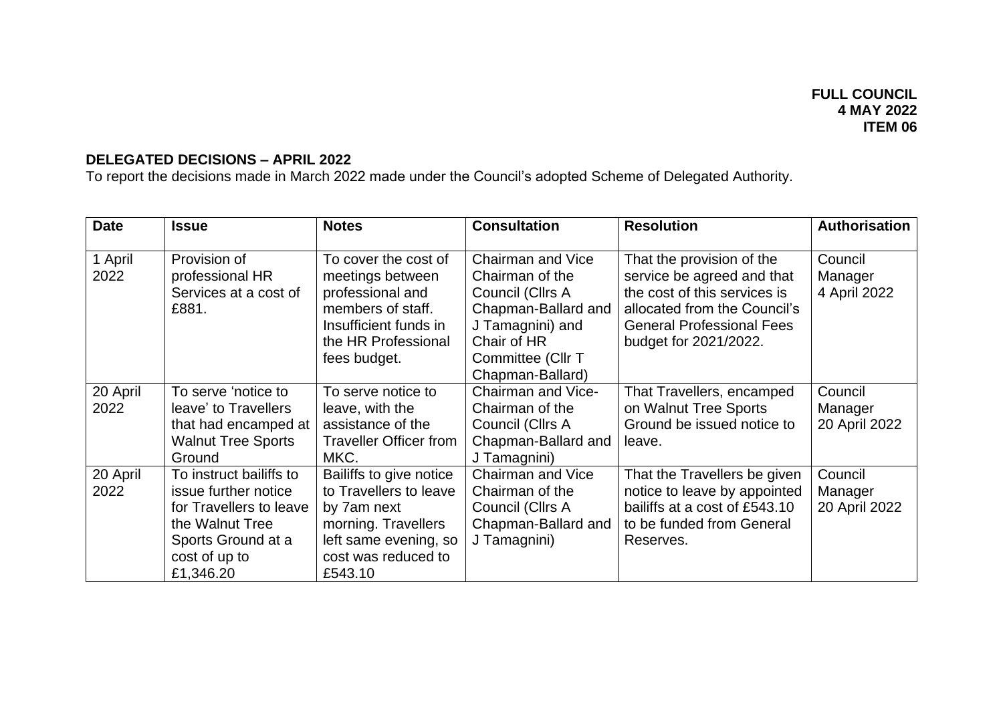## **DELEGATED DECISIONS – APRIL 2022**

To report the decisions made in March 2022 made under the Council's adopted Scheme of Delegated Authority.

| <b>Date</b>      | <b>Issue</b>                                                                                                                                      | <b>Notes</b>                                                                                                                                       | <b>Consultation</b>                                                                                                                                         | <b>Resolution</b>                                                                                                                                                                    | <b>Authorisation</b>                |
|------------------|---------------------------------------------------------------------------------------------------------------------------------------------------|----------------------------------------------------------------------------------------------------------------------------------------------------|-------------------------------------------------------------------------------------------------------------------------------------------------------------|--------------------------------------------------------------------------------------------------------------------------------------------------------------------------------------|-------------------------------------|
| 1 April<br>2022  | Provision of<br>professional HR<br>Services at a cost of<br>£881.                                                                                 | To cover the cost of<br>meetings between<br>professional and<br>members of staff.<br>Insufficient funds in<br>the HR Professional<br>fees budget.  | Chairman and Vice<br>Chairman of the<br>Council (Cllrs A<br>Chapman-Ballard and<br>J Tamagnini) and<br>Chair of HR<br>Committee (Cllr T<br>Chapman-Ballard) | That the provision of the<br>service be agreed and that<br>the cost of this services is<br>allocated from the Council's<br><b>General Professional Fees</b><br>budget for 2021/2022. | Council<br>Manager<br>4 April 2022  |
| 20 April<br>2022 | To serve 'notice to<br>leave' to Travellers<br>that had encamped at<br><b>Walnut Tree Sports</b><br>Ground                                        | To serve notice to<br>leave, with the<br>assistance of the<br><b>Traveller Officer from</b><br>MKC.                                                | Chairman and Vice-<br>Chairman of the<br>Council (Cllrs A<br>Chapman-Ballard and<br>J Tamagnini)                                                            | That Travellers, encamped<br>on Walnut Tree Sports<br>Ground be issued notice to<br>leave.                                                                                           | Council<br>Manager<br>20 April 2022 |
| 20 April<br>2022 | To instruct bailiffs to<br>issue further notice<br>for Travellers to leave<br>the Walnut Tree<br>Sports Ground at a<br>cost of up to<br>£1,346.20 | Bailiffs to give notice<br>to Travellers to leave<br>by 7am next<br>morning. Travellers<br>left same evening, so<br>cost was reduced to<br>£543.10 | <b>Chairman and Vice</b><br>Chairman of the<br>Council (Cllrs A<br>Chapman-Ballard and<br>J Tamagnini)                                                      | That the Travellers be given<br>notice to leave by appointed<br>bailiffs at a cost of £543.10<br>to be funded from General<br>Reserves.                                              | Council<br>Manager<br>20 April 2022 |